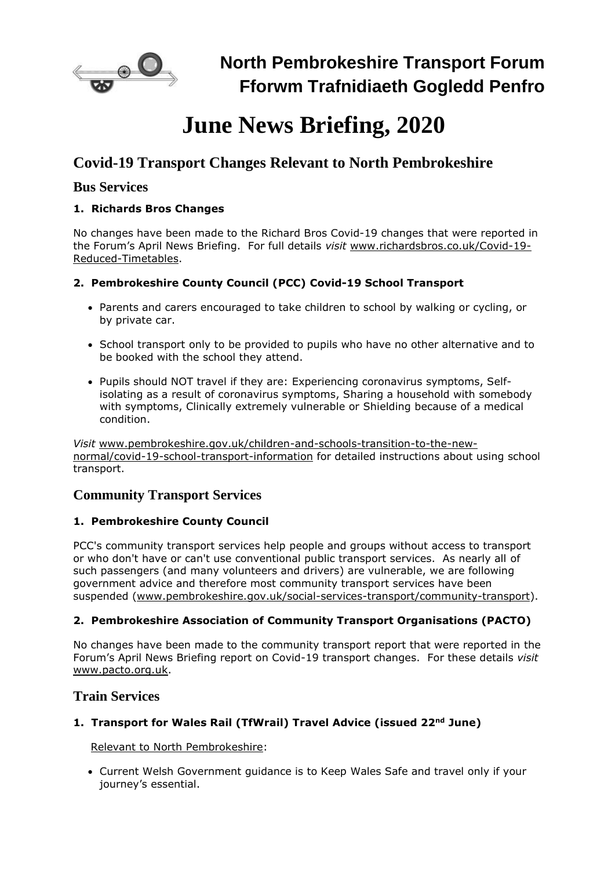

# **June News Briefing, 2020**

# **Covid-19 Transport Changes Relevant to North Pembrokeshire**

# **Bus Services**

## **1. Richards Bros Changes**

No changes have been made to the Richard Bros Covid-19 changes that were reported in the Forum's April News Briefing. For full details *visit* [www.richardsbros.co.uk/Covid-19-](http://www.richardsbros.co.uk/Covid-19-Reduced-Timetables) [Reduced-Timetables.](http://www.richardsbros.co.uk/Covid-19-Reduced-Timetables)

### **2. Pembrokeshire County Council (PCC) Covid-19 School Transport**

- Parents and carers encouraged to take children to school by walking or cycling, or by private car.
- School transport only to be provided to pupils who have no other alternative and to be booked with the school they attend.
- Pupils should NOT travel if they are: Experiencing coronavirus symptoms, Selfisolating as a result of coronavirus symptoms, Sharing a household with somebody with symptoms, Clinically extremely vulnerable or Shielding because of a medical condition.

*Visit* [www.pembrokeshire.gov.uk/children-and-schools-transition-to-the-new](http://www.pembrokeshire.gov.uk/children-and-schools-transition-to-the-new-normal/covid-19-school-transport-information)[normal/covid-19-school-transport-information](http://www.pembrokeshire.gov.uk/children-and-schools-transition-to-the-new-normal/covid-19-school-transport-information) for detailed instructions about using school transport.

# **Community Transport Services**

#### **1. Pembrokeshire County Council**

PCC's community transport services help people and groups without access to transport or who don't have or can't use conventional public transport services. As nearly all of such passengers (and many volunteers and drivers) are vulnerable, we are following government advice and therefore most community transport services have been suspended [\(www.pembrokeshire.gov.uk/social-services-transport/community-transport\)](http://www.pembrokeshire.gov.uk/social-services-transport/community-transport).

#### **2. Pembrokeshire Association of Community Transport Organisations (PACTO)**

No changes have been made to the community transport report that were reported in the Forum's April News Briefing report on Covid-19 transport changes. For these details *visit*  [www.pacto.org.uk.](http://www.pacto.org.uk/)

# **Train Services**

# **1. Transport for Wales Rail (TfWrail) Travel Advice (issued 22nd June)**

Relevant to North Pembrokeshire:

• Current Welsh Government guidance is to Keep Wales Safe and travel only if your journey's essential.